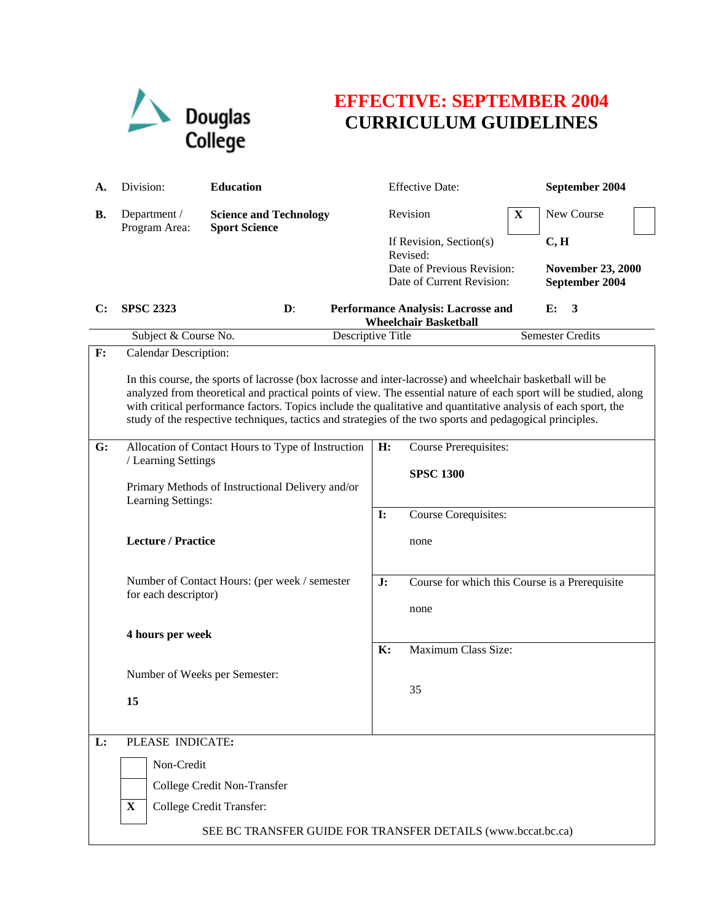

## **EFFECTIVE: SEPTEMBER 2004 CURRICULUM GUIDELINES**

| А.             | Division:                                                                                                                                                                                                                                                                                                                                                                                                                                                     | <b>Education</b>                                                                                       |           | <b>Effective Date:</b>                                                                         |   | September 2004                                     |  |  |
|----------------|---------------------------------------------------------------------------------------------------------------------------------------------------------------------------------------------------------------------------------------------------------------------------------------------------------------------------------------------------------------------------------------------------------------------------------------------------------------|--------------------------------------------------------------------------------------------------------|-----------|------------------------------------------------------------------------------------------------|---|----------------------------------------------------|--|--|
| В.             | Department /<br>Program Area:                                                                                                                                                                                                                                                                                                                                                                                                                                 | <b>Science and Technology</b><br><b>Sport Science</b>                                                  |           | Revision                                                                                       | X | New Course                                         |  |  |
|                |                                                                                                                                                                                                                                                                                                                                                                                                                                                               |                                                                                                        |           | If Revision, Section(s)<br>Revised:<br>Date of Previous Revision:<br>Date of Current Revision: |   | C, H<br><b>November 23, 2000</b><br>September 2004 |  |  |
| C:             | <b>SPSC 2323</b>                                                                                                                                                                                                                                                                                                                                                                                                                                              | $\mathbf{D}$ :<br>E:<br>3<br><b>Performance Analysis: Lacrosse and</b><br><b>Wheelchair Basketball</b> |           |                                                                                                |   |                                                    |  |  |
|                |                                                                                                                                                                                                                                                                                                                                                                                                                                                               | Descriptive Title<br>Subject & Course No.                                                              |           | <b>Semester Credits</b>                                                                        |   |                                                    |  |  |
| $\mathbf{F}$ : | Calendar Description:                                                                                                                                                                                                                                                                                                                                                                                                                                         |                                                                                                        |           |                                                                                                |   |                                                    |  |  |
|                | In this course, the sports of lacrosse (box lacrosse and inter-lacrosse) and wheelchair basketball will be<br>analyzed from theoretical and practical points of view. The essential nature of each sport will be studied, along<br>with critical performance factors. Topics include the qualitative and quantitative analysis of each sport, the<br>study of the respective techniques, tactics and strategies of the two sports and pedagogical principles. |                                                                                                        |           |                                                                                                |   |                                                    |  |  |
| G:             |                                                                                                                                                                                                                                                                                                                                                                                                                                                               | Allocation of Contact Hours to Type of Instruction                                                     | H:        | <b>Course Prerequisites:</b>                                                                   |   |                                                    |  |  |
|                |                                                                                                                                                                                                                                                                                                                                                                                                                                                               | / Learning Settings                                                                                    |           | <b>SPSC 1300</b>                                                                               |   |                                                    |  |  |
|                | Primary Methods of Instructional Delivery and/or                                                                                                                                                                                                                                                                                                                                                                                                              |                                                                                                        |           |                                                                                                |   |                                                    |  |  |
|                |                                                                                                                                                                                                                                                                                                                                                                                                                                                               | Learning Settings:                                                                                     |           | Course Corequisites:<br>$\mathbf{I}$ :                                                         |   |                                                    |  |  |
|                |                                                                                                                                                                                                                                                                                                                                                                                                                                                               | <b>Lecture / Practice</b>                                                                              |           | none                                                                                           |   |                                                    |  |  |
|                | Number of Contact Hours: (per week / semester<br>for each descriptor)<br>4 hours per week                                                                                                                                                                                                                                                                                                                                                                     |                                                                                                        | J:        | Course for which this Course is a Prerequisite<br>none                                         |   |                                                    |  |  |
|                |                                                                                                                                                                                                                                                                                                                                                                                                                                                               |                                                                                                        |           |                                                                                                |   |                                                    |  |  |
|                |                                                                                                                                                                                                                                                                                                                                                                                                                                                               |                                                                                                        | <b>K:</b> | Maximum Class Size:                                                                            |   |                                                    |  |  |
|                |                                                                                                                                                                                                                                                                                                                                                                                                                                                               |                                                                                                        |           |                                                                                                |   |                                                    |  |  |
|                | Number of Weeks per Semester:                                                                                                                                                                                                                                                                                                                                                                                                                                 |                                                                                                        |           | 35                                                                                             |   |                                                    |  |  |
|                | 15                                                                                                                                                                                                                                                                                                                                                                                                                                                            |                                                                                                        |           |                                                                                                |   |                                                    |  |  |
|                |                                                                                                                                                                                                                                                                                                                                                                                                                                                               |                                                                                                        |           |                                                                                                |   |                                                    |  |  |
| $\mathbf{L}$ : |                                                                                                                                                                                                                                                                                                                                                                                                                                                               | PLEASE INDICATE:<br>Non-Credit                                                                         |           |                                                                                                |   |                                                    |  |  |
|                |                                                                                                                                                                                                                                                                                                                                                                                                                                                               |                                                                                                        |           |                                                                                                |   |                                                    |  |  |
|                |                                                                                                                                                                                                                                                                                                                                                                                                                                                               | College Credit Non-Transfer<br>College Credit Transfer:                                                |           |                                                                                                |   |                                                    |  |  |
|                | $\mathbf{X}$                                                                                                                                                                                                                                                                                                                                                                                                                                                  |                                                                                                        |           |                                                                                                |   |                                                    |  |  |
|                | SEE BC TRANSFER GUIDE FOR TRANSFER DETAILS (www.bccat.bc.ca)                                                                                                                                                                                                                                                                                                                                                                                                  |                                                                                                        |           |                                                                                                |   |                                                    |  |  |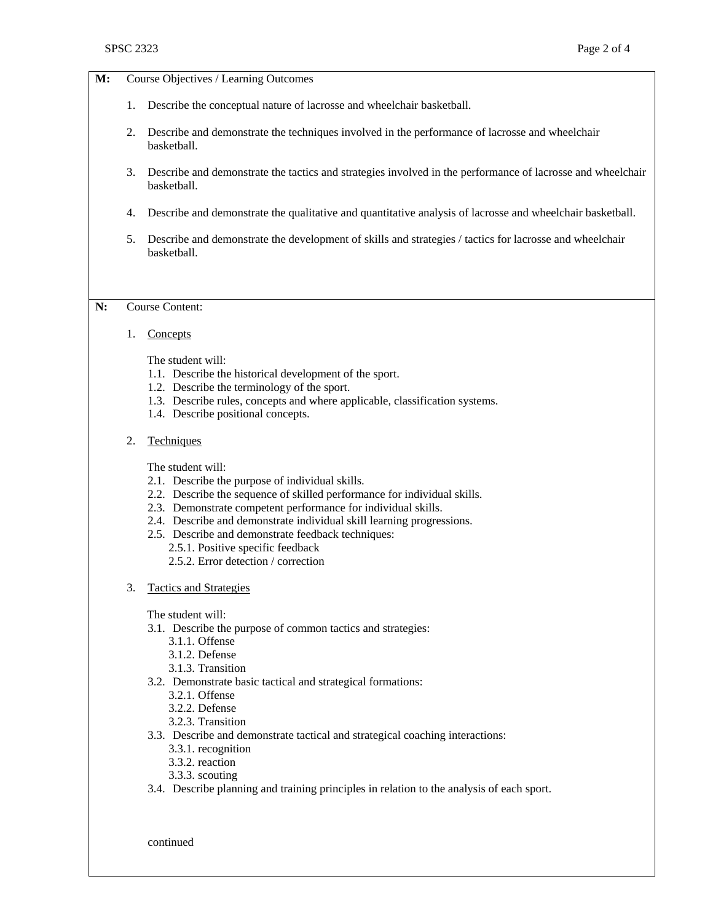|    | <b>SPSC 2323</b> | Page 2 of 4                                                                                                                                                                                                                                                                                                                                                                                                                  |
|----|------------------|------------------------------------------------------------------------------------------------------------------------------------------------------------------------------------------------------------------------------------------------------------------------------------------------------------------------------------------------------------------------------------------------------------------------------|
| M: |                  | Course Objectives / Learning Outcomes                                                                                                                                                                                                                                                                                                                                                                                        |
|    | 1.               | Describe the conceptual nature of lacrosse and wheelchair basketball.                                                                                                                                                                                                                                                                                                                                                        |
|    | 2.               | Describe and demonstrate the techniques involved in the performance of lacrosse and wheelchair<br>basketball.                                                                                                                                                                                                                                                                                                                |
|    | 3.               | Describe and demonstrate the tactics and strategies involved in the performance of lacrosse and wheelchair<br>basketball.                                                                                                                                                                                                                                                                                                    |
|    | 4.               | Describe and demonstrate the qualitative and quantitative analysis of lacrosse and wheelchair basketball.                                                                                                                                                                                                                                                                                                                    |
|    | 5.               | Describe and demonstrate the development of skills and strategies / tactics for lacrosse and wheelchair<br>basketball.                                                                                                                                                                                                                                                                                                       |
| N: |                  | <b>Course Content:</b>                                                                                                                                                                                                                                                                                                                                                                                                       |
|    | 1.               | Concepts                                                                                                                                                                                                                                                                                                                                                                                                                     |
|    |                  | The student will:<br>1.1. Describe the historical development of the sport.<br>1.2. Describe the terminology of the sport.<br>1.3. Describe rules, concepts and where applicable, classification systems.<br>1.4. Describe positional concepts.                                                                                                                                                                              |
|    | 2.               | Techniques                                                                                                                                                                                                                                                                                                                                                                                                                   |
|    |                  | The student will:<br>2.1. Describe the purpose of individual skills.<br>2.2. Describe the sequence of skilled performance for individual skills.<br>2.3. Demonstrate competent performance for individual skills.<br>2.4. Describe and demonstrate individual skill learning progressions.<br>2.5. Describe and demonstrate feedback techniques:<br>2.5.1. Positive specific feedback<br>2.5.2. Error detection / correction |
|    | 3.               | <b>Tactics and Strategies</b>                                                                                                                                                                                                                                                                                                                                                                                                |
|    |                  | The student will:<br>3.1. Describe the purpose of common tactics and strategies:<br>3.1.1. Offense<br>3.1.2. Defense<br>3.1.3. Transition<br>3.2. Demonstrate basic tactical and strategical formations:<br>3.2.1. Offense                                                                                                                                                                                                   |
|    |                  | 3.2.2. Defense<br>3.2.3. Transition                                                                                                                                                                                                                                                                                                                                                                                          |

3.3. Describe and demonstrate tactical and strategical coaching interactions:

3.4. Describe planning and training principles in relation to the analysis of each sport.

continued

3.3.1. recognition 3.3.2. reaction 3.3.3. scouting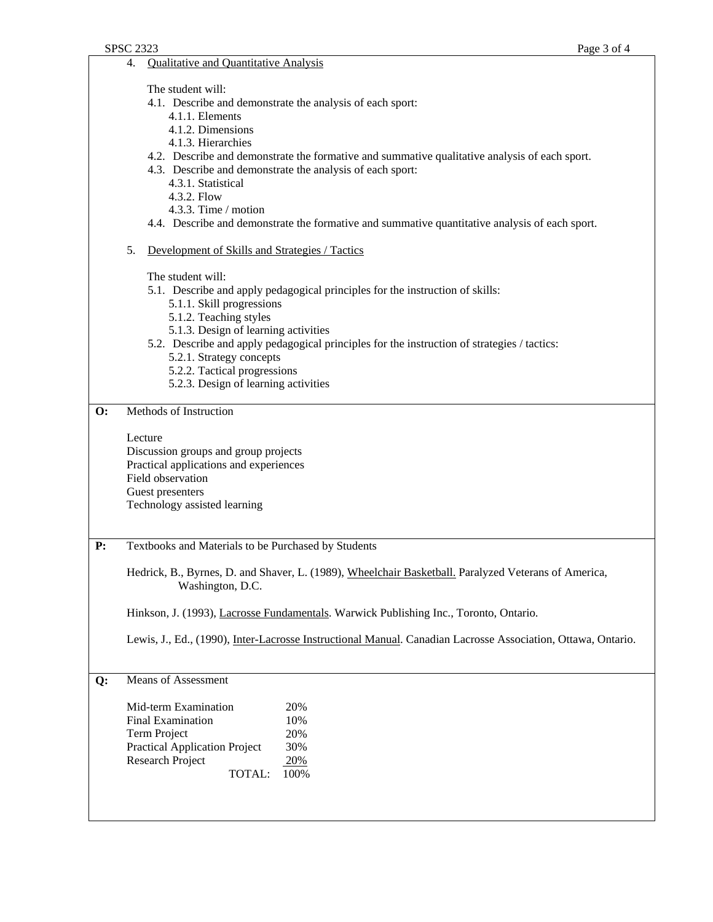4. Qualitative and Quantitative Analysis

The student will:

- 4.1. Describe and demonstrate the analysis of each sport:
	- 4.1.1. Elements
	- 4.1.2. Dimensions
	- 4.1.3. Hierarchies
- 4.2. Describe and demonstrate the formative and summative qualitative analysis of each sport.
- 4.3. Describe and demonstrate the analysis of each sport:
	- 4.3.1. Statistical
	- 4.3.2. Flow
	- 4.3.3. Time / motion
- 4.4. Describe and demonstrate the formative and summative quantitative analysis of each sport.
- 5. Development of Skills and Strategies / Tactics

The student will:

- 5.1. Describe and apply pedagogical principles for the instruction of skills:
	- 5.1.1. Skill progressions
	- 5.1.2. Teaching styles
	- 5.1.3. Design of learning activities
- 5.2. Describe and apply pedagogical principles for the instruction of strategies / tactics:
	- 5.2.1. Strategy concepts
	- 5.2.2. Tactical progressions
	- 5.2.3. Design of learning activities

## **O:** Methods of Instruction

Lecture

Discussion groups and group projects Practical applications and experiences Field observation Guest presenters Technology assisted learning

**P:** Textbooks and Materials to be Purchased by Students

Hedrick, B., Byrnes, D. and Shaver, L. (1989), Wheelchair Basketball. Paralyzed Veterans of America, Washington, D.C.

Hinkson, J. (1993), Lacrosse Fundamentals. Warwick Publishing Inc., Toronto, Ontario.

Lewis, J., Ed., (1990), Inter-Lacrosse Instructional Manual. Canadian Lacrosse Association, Ottawa, Ontario.

## **Q:** Means of Assessment

| Mid-term Examination                 | 20%  |
|--------------------------------------|------|
| <b>Final Examination</b>             | 10%  |
| Term Project                         | 20%  |
| <b>Practical Application Project</b> | 30%  |
| Research Project                     | 20%  |
| <b>TOTAL:</b>                        | 100% |